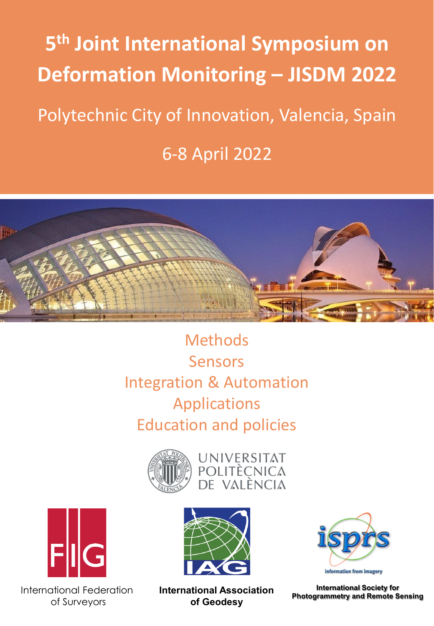# **5th Joint International Symposium on Deformation Monitoring – JISDM 2022** Polytechnic City of Innovation, Valencia, Spain 6-8 April 2022



**Methods** Sensors Integration & Automation Applications Education and policies







International Federation of Surveyors





**International Society for Photogrammetry and Remote Sensing**

**International Association of Geodesy**